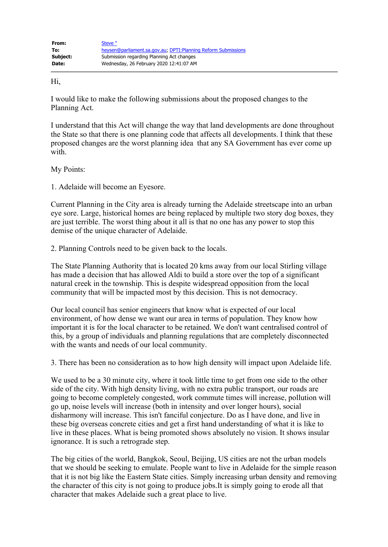Hi,

I would like to make the following submissions about the proposed changes to the Planning Act.

I understand that this Act will change the way that land developments are done throughout the State so that there is one planning code that affects all developments. I think that these proposed changes are the worst planning idea that any SA Government has ever come up with.

My Points:

1. Adelaide will become an Eyesore.

Current Planning in the City area is already turning the Adelaide streetscape into an urban eye sore. Large, historical homes are being replaced by multiple two story dog boxes, they are just terrible. The worst thing about it all is that no one has any power to stop this demise of the unique character of Adelaide.

2. Planning Controls need to be given back to the locals.

The State Planning Authority that is located 20 kms away from our local Stirling village has made a decision that has allowed Aldi to build a store over the top of a significant natural creek in the township. This is despite widespread opposition from the local community that will be impacted most by this decision. This is not democracy.

Our local council has senior engineers that know what is expected of our local environment, of how dense we want our area in terms of population. They know how important it is for the local character to be retained. We don't want centralised control of this, by a group of individuals and planning regulations that are completely disconnected with the wants and needs of our local community.

3. There has been no consideration as to how high density will impact upon Adelaide life.

We used to be a 30 minute city, where it took little time to get from one side to the other side of the city. With high density living, with no extra public transport, our roads are going to become completely congested, work commute times will increase, pollution will go up, noise levels will increase (both in intensity and over longer hours), social disharmony will increase. This isn't fanciful conjecture. Do as I have done, and live in these big overseas concrete cities and get a first hand understanding of what it is like to live in these places. What is being promoted shows absolutely no vision. It shows insular ignorance. It is such a retrograde step.

The big cities of the world, Bangkok, Seoul, Beijing, US cities are not the urban models that we should be seeking to emulate. People want to live in Adelaide for the simple reason that it is not big like the Eastern State cities. Simply increasing urban density and removing the character of this city is not going to produce jobs.It is simply going to erode all that character that makes Adelaide such a great place to live.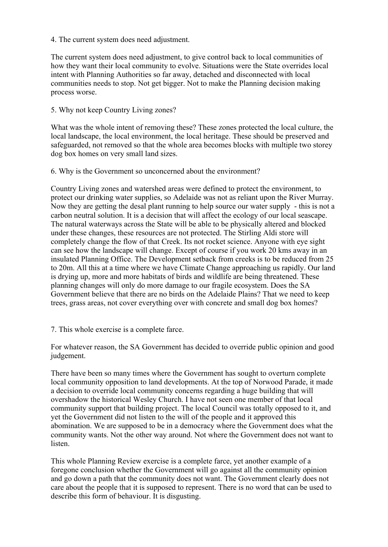## 4. The current system does need adjustment.

The current system does need adjustment, to give control back to local communities of how they want their local community to evolve. Situations were the State overrides local intent with Planning Authorities so far away, detached and disconnected with local communities needs to stop. Not get bigger. Not to make the Planning decision making process worse.

## 5. Why not keep Country Living zones?

What was the whole intent of removing these? These zones protected the local culture, the local landscape, the local environment, the local heritage. These should be preserved and safeguarded, not removed so that the whole area becomes blocks with multiple two storey dog box homes on very small land sizes.

## 6. Why is the Government so unconcerned about the environment?

Country Living zones and watershed areas were defined to protect the environment, to protect our drinking water supplies, so Adelaide was not as reliant upon the River Murray. Now they are getting the desal plant running to help source our water supply - this is not a carbon neutral solution. It is a decision that will affect the ecology of our local seascape. The natural waterways across the State will be able to be physically altered and blocked under these changes, these resources are not protected. The Stirling Aldi store will completely change the flow of that Creek. Its not rocket science. Anyone with eye sight can see how the landscape will change. Except of course if you work 20 kms away in an insulated Planning Office. The Development setback from creeks is to be reduced from 25 to 20m. All this at a time where we have Climate Change approaching us rapidly. Our land is drying up, more and more habitats of birds and wildlife are being threatened. These planning changes will only do more damage to our fragile ecosystem. Does the SA Government believe that there are no birds on the Adelaide Plains? That we need to keep trees, grass areas, not cover everything over with concrete and small dog box homes?

## 7. This whole exercise is a complete farce.

For whatever reason, the SA Government has decided to override public opinion and good judgement.

There have been so many times where the Government has sought to overturn complete local community opposition to land developments. At the top of Norwood Parade, it made a decision to override local community concerns regarding a huge building that will overshadow the historical Wesley Church. I have not seen one member of that local community support that building project. The local Council was totally opposed to it, and yet the Government did not listen to the will of the people and it approved this abomination. We are supposed to be in a democracy where the Government does what the community wants. Not the other way around. Not where the Government does not want to listen.

This whole Planning Review exercise is a complete farce, yet another example of a foregone conclusion whether the Government will go against all the community opinion and go down a path that the community does not want. The Government clearly does not care about the people that it is supposed to represent. There is no word that can be used to describe this form of behaviour. It is disgusting.